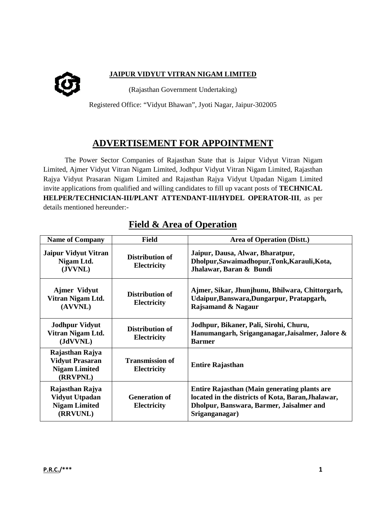

## **JAIPUR VIDYUT VITRAN NIGAM LIMITED**

(Rajasthan Government Undertaking)

Registered Office: "Vidyut Bhawan", Jyoti Nagar, Jaipur-302005

## **ADVERTISEMENT FOR APPOINTMENT**

The Power Sector Companies of Rajasthan State that is Jaipur Vidyut Vitran Nigam Limited, Ajmer Vidyut Vitran Nigam Limited, Jodhpur Vidyut Vitran Nigam Limited, Rajasthan Rajya Vidyut Prasaran Nigam Limited and Rajasthan Rajya Vidyut Utpadan Nigam Limited invite applications from qualified and willing candidates to fill up vacant posts of **TECHNICAL HELPER/TECHNICIAN-III/PLANT ATTENDANT-III/HYDEL OPERATOR-III**, as per details mentioned hereunder:-

| <b>Name of Company</b>                                                        | <b>Field</b>                                 | <b>Area of Operation (Distt.)</b>                                                                                                                                |
|-------------------------------------------------------------------------------|----------------------------------------------|------------------------------------------------------------------------------------------------------------------------------------------------------------------|
| <b>Jaipur Vidyut Vitran</b><br>Nigam Ltd.<br>(JVVNL)                          | Distribution of<br><b>Electricity</b>        | Jaipur, Dausa, Alwar, Bharatpur,<br>Dholpur, Sawaimadhopur, Tonk, Karauli, Kota,<br>Jhalawar, Baran & Bundi                                                      |
| <b>Ajmer Vidyut</b><br>Vitran Nigam Ltd.<br>(AVVNL)                           | Distribution of<br><b>Electricity</b>        | Ajmer, Sikar, Jhunjhunu, Bhilwara, Chittorgarh,<br>Udaipur, Banswara, Dungarpur, Pratapgarh,<br>Rajsamand & Nagaur                                               |
| <b>Jodhpur Vidyut</b><br>Vitran Nigam Ltd.<br>(JdVVNL)                        | Distribution of<br><b>Electricity</b>        | Jodhpur, Bikaner, Pali, Sirohi, Churu,<br>Hanumangarh, Sriganganagar, Jaisalmer, Jalore &<br><b>Barmer</b>                                                       |
| Rajasthan Rajya<br><b>Vidyut Prasaran</b><br><b>Nigam Limited</b><br>(RRVPNL) | <b>Transmission of</b><br><b>Electricity</b> | <b>Entire Rajasthan</b>                                                                                                                                          |
| Rajasthan Rajya<br><b>Vidyut Utpadan</b><br><b>Nigam Limited</b><br>(RRVUNL)  | <b>Generation of</b><br><b>Electricity</b>   | Entire Rajasthan (Main generating plants are<br>located in the districts of Kota, Baran, Jhalawar,<br>Dholpur, Banswara, Barmer, Jaisalmer and<br>Sriganganagar) |

# **Field & Area of Operation**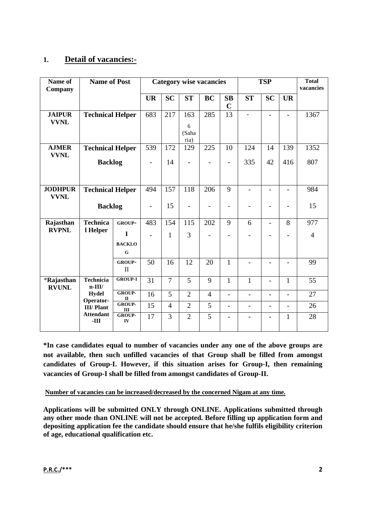## **1. Detail of vacancies:-**

| Name of<br>Company            | <b>Name of Post</b>          |                               | <b>Category wise vacancies</b> |                |                    |                          | <b>TSP</b>        |                          |                          | <b>Total</b><br>vacancies    |                |
|-------------------------------|------------------------------|-------------------------------|--------------------------------|----------------|--------------------|--------------------------|-------------------|--------------------------|--------------------------|------------------------------|----------------|
|                               |                              |                               | <b>UR</b>                      | <b>SC</b>      | ST                 | <b>BC</b>                | SB<br>$\mathbf C$ | <b>ST</b>                | <b>SC</b>                | <b>UR</b>                    |                |
| <b>JAIPUR</b><br><b>VVNL</b>  | <b>Technical Helper</b>      |                               | 683                            | 217            | 163                | 285                      | 13                | $\blacksquare$           | $\blacksquare$           | ÷.                           | 1367           |
|                               |                              |                               |                                |                | 6<br>(Saha<br>ria) |                          |                   |                          |                          |                              |                |
| <b>AJMER</b><br><b>VVNL</b>   | <b>Technical Helper</b>      |                               | 539                            | 172            | 129                | 225                      | 10                | 124                      | 14                       | 139                          | 1352           |
|                               | <b>Backlog</b>               |                               | $\overline{\phantom{a}}$       | 14             | $\blacksquare$     | $\overline{\phantom{0}}$ | $\blacksquare$    | 335                      | 42                       | 416                          | 807            |
|                               |                              |                               |                                |                |                    |                          |                   |                          |                          |                              |                |
| <b>JODHPUR</b><br><b>VVNL</b> | <b>Technical Helper</b>      |                               | 494                            | 157            | 118                | 206                      | 9                 | $\overline{\phantom{0}}$ | $\overline{\phantom{a}}$ | $\qquad \qquad \blacksquare$ | 984            |
|                               | <b>Backlog</b>               |                               | $\blacksquare$                 | 15             | $\blacksquare$     |                          | $\overline{a}$    | $\overline{\phantom{0}}$ |                          |                              | 15             |
| Rajasthan                     | <b>Technica</b>              | <b>GROUP-</b>                 | 483                            | 154            | 115                | 202                      | 9                 | 6                        | $\overline{a}$           | 8                            | 977            |
| <b>RVPNL</b>                  | l Helper                     | I                             |                                | $\mathbf{1}$   | $\overline{3}$     |                          | -                 |                          |                          |                              | $\overline{4}$ |
|                               |                              | <b>BACKLO</b><br>$\mathbf G$  |                                |                |                    |                          |                   |                          |                          |                              |                |
|                               |                              | <b>GROUP-</b><br>$\mathbf{I}$ | 50                             | 16             | 12                 | 20                       | $\mathbf{1}$      | $\overline{a}$           | $\mathbf{r}$             | L.                           | 99             |
| *Rajasthan<br><b>RVUNL</b>    | <b>Technicia</b><br>$n-III/$ | <b>GROUP-I</b>                | 31                             | $\overline{7}$ | 5                  | 9                        | $\mathbf{1}$      | $\mathbf{1}$             |                          | $\mathbf{1}$                 | 55             |
|                               | <b>Hydel</b><br>Operator-    | <b>GROUP-</b><br>$\mathbf{I}$ | 16                             | 5              | $\overline{2}$     | $\overline{4}$           | $\overline{a}$    | ÷                        |                          | ÷                            | 27             |
|                               | <b>III/Plant</b>             | GROUP-<br>III                 | 15                             | $\overline{4}$ | $\overline{2}$     | 5                        | $\overline{a}$    | $\blacksquare$           | $\blacksquare$           | $\blacksquare$               | 26             |
|                               | <b>Attendant</b><br>$-III$   | <b>GROUP-</b><br>IV           | 17                             | 3              | $\overline{2}$     | $\overline{5}$           | $\overline{a}$    | $\blacksquare$           | $\blacksquare$           | $\mathbf{1}$                 | 28             |

**\*In case candidates equal to number of vacancies under any one of the above groups are not available, then such unfilled vacancies of that Group shall be filled from amongst candidates of Group-I. However, if this situation arises for Group-I, then remaining vacancies of Group-I shall be filled from amongst candidates of Group-II.**

**Number of vacancies can be increased/decreased by the concerned Nigam at any time.**

**Applications will be submitted ONLY through ONLINE. Applications submitted through any other mode than ONLINE will not be accepted. Before filling up application form and depositing application fee the candidate should ensure that he/she fulfils eligibility criterion of age, educational qualification etc.**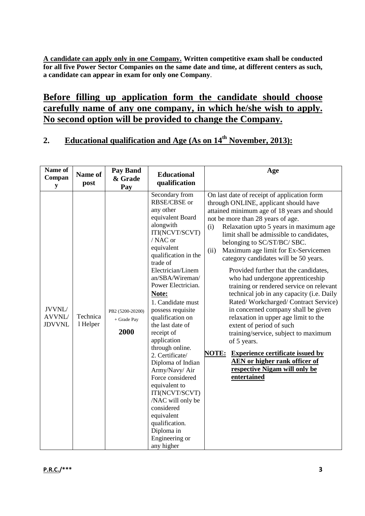**A candidate can apply only in one Company. Written competitive exam shall be conducted for all five Power Sector Companies on the same date and time, at different centers as such, a candidate can appear in exam for only one Company**.

# **Before filling up application form the candidate should choose carefully name of any one company, in which he/she wish to apply. No second option will be provided to change the Company.**

# **2. Educational qualification and Age (As on 14th November, 2013):**

| Name of<br>Compan<br>${\bf y}$    | Name of<br>post      | <b>Pay Band</b><br>& Grade<br>Pay       | <b>Educational</b><br>qualification                                                                                                                                                                                                                                                                                                                                                                                                                                                                                                                                                                     | Age                                                                                                                                                                                                                                                                                                                                                                                                                                                                                                                                                                                                                                                                                                                                                                                                                                                                                                                     |
|-----------------------------------|----------------------|-----------------------------------------|---------------------------------------------------------------------------------------------------------------------------------------------------------------------------------------------------------------------------------------------------------------------------------------------------------------------------------------------------------------------------------------------------------------------------------------------------------------------------------------------------------------------------------------------------------------------------------------------------------|-------------------------------------------------------------------------------------------------------------------------------------------------------------------------------------------------------------------------------------------------------------------------------------------------------------------------------------------------------------------------------------------------------------------------------------------------------------------------------------------------------------------------------------------------------------------------------------------------------------------------------------------------------------------------------------------------------------------------------------------------------------------------------------------------------------------------------------------------------------------------------------------------------------------------|
| JVVNL/<br>AVVNL/<br><b>JDVVNL</b> | Technica<br>1 Helper | PB2 (5200-20200)<br>+ Grade Pay<br>2000 | Secondary from<br>RBSE/CBSE or<br>any other<br>equivalent Board<br>alongwith<br>ITI(NCVT/SCVT)<br>/ NAC or<br>equivalent<br>qualification in the<br>trade of<br>Electrician/Linem<br>an/SBA/Wireman/<br>Power Electrician.<br>Note:<br>1. Candidate must<br>possess requisite<br>qualification on<br>the last date of<br>receipt of<br>application<br>through online.<br>2. Certificate/<br>Diploma of Indian<br>Army/Navy/ Air<br>Force considered<br>equivalent to<br>ITI(NCVT/SCVT)<br>/NAC will only be<br>considered<br>equivalent<br>qualification.<br>Diploma in<br>Engineering or<br>any higher | On last date of receipt of application form<br>through ONLINE, applicant should have<br>attained minimum age of 18 years and should<br>not be more than 28 years of age.<br>Relaxation upto 5 years in maximum age<br>(i)<br>limit shall be admissible to candidates,<br>belonging to SC/ST/BC/ SBC.<br>Maximum age limit for Ex-Servicemen<br>(ii)<br>category candidates will be 50 years.<br>Provided further that the candidates,<br>who had undergone apprenticeship<br>training or rendered service on relevant<br>technical job in any capacity (i.e. Daily<br>Rated/Workcharged/Contract Service)<br>in concerned company shall be given<br>relaxation in upper age limit to the<br>extent of period of such<br>training/service, subject to maximum<br>of 5 years.<br><b>NOTE:</b><br><b>Experience certificate issued by</b><br>AEN or higher rank officer of<br>respective Nigam will only be<br>entertained |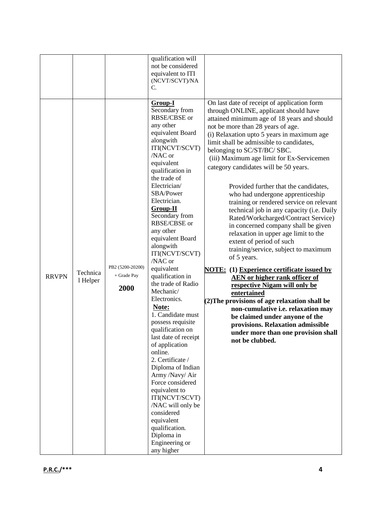|              |                      |                                         | qualification will<br>not be considered                                                                                                                                                                                                                                                                                                                                                                                                                                                                                                                                                                                                                                                                                                                                               |                                                                                                                                                                                                                                                                                                                                                                                                                                                                                                                                                                                                                                                                                                                                                                                                                                                                                                                                                                                                                                                                                                                                             |
|--------------|----------------------|-----------------------------------------|---------------------------------------------------------------------------------------------------------------------------------------------------------------------------------------------------------------------------------------------------------------------------------------------------------------------------------------------------------------------------------------------------------------------------------------------------------------------------------------------------------------------------------------------------------------------------------------------------------------------------------------------------------------------------------------------------------------------------------------------------------------------------------------|---------------------------------------------------------------------------------------------------------------------------------------------------------------------------------------------------------------------------------------------------------------------------------------------------------------------------------------------------------------------------------------------------------------------------------------------------------------------------------------------------------------------------------------------------------------------------------------------------------------------------------------------------------------------------------------------------------------------------------------------------------------------------------------------------------------------------------------------------------------------------------------------------------------------------------------------------------------------------------------------------------------------------------------------------------------------------------------------------------------------------------------------|
|              |                      |                                         | equivalent to ITI<br>(NCVT/SCVT)/NA                                                                                                                                                                                                                                                                                                                                                                                                                                                                                                                                                                                                                                                                                                                                                   |                                                                                                                                                                                                                                                                                                                                                                                                                                                                                                                                                                                                                                                                                                                                                                                                                                                                                                                                                                                                                                                                                                                                             |
|              |                      |                                         | C.                                                                                                                                                                                                                                                                                                                                                                                                                                                                                                                                                                                                                                                                                                                                                                                    |                                                                                                                                                                                                                                                                                                                                                                                                                                                                                                                                                                                                                                                                                                                                                                                                                                                                                                                                                                                                                                                                                                                                             |
| <b>RRVPN</b> | Technica<br>1 Helper | PB2 (5200-20200)<br>+ Grade Pay<br>2000 | Group-I<br>Secondary from<br>RBSE/CBSE or<br>any other<br>equivalent Board<br>alongwith<br>ITI(NCVT/SCVT)<br>/NAC or<br>equivalent<br>qualification in<br>the trade of<br>Electrician/<br>SBA/Power<br>Electrician.<br>$Group-II$<br>Secondary from<br>RBSE/CBSE or<br>any other<br>equivalent Board<br>alongwith<br>ITI(NCVT/SCVT)<br>/NAC or<br>equivalent<br>qualification in<br>the trade of Radio<br>Mechanic/<br>Electronics.<br>Note:<br>1. Candidate must<br>possess requisite<br>qualification on<br>last date of receipt<br>of application<br>online.<br>2. Certificate /<br>Diploma of Indian<br>Army /Navy/ Air<br>Force considered<br>equivalent to<br>ITI(NCVT/SCVT)<br>/NAC will only be<br>considered<br>equivalent<br>qualification.<br>Diploma in<br>Engineering or | On last date of receipt of application form<br>through ONLINE, applicant should have<br>attained minimum age of 18 years and should<br>not be more than 28 years of age.<br>(i) Relaxation upto 5 years in maximum age<br>limit shall be admissible to candidates,<br>belonging to SC/ST/BC/ SBC.<br>(iii) Maximum age limit for Ex-Servicemen<br>category candidates will be 50 years.<br>Provided further that the candidates,<br>who had undergone apprenticeship<br>training or rendered service on relevant<br>technical job in any capacity (i.e. Daily<br>Rated/Workcharged/Contract Service)<br>in concerned company shall be given<br>relaxation in upper age limit to the<br>extent of period of such<br>training/service, subject to maximum<br>of 5 years.<br><b>NOTE:</b> (1) Experience certificate issued by<br><b>AEN</b> or higher rank officer of<br>respective Nigam will only be<br>entertained<br>(2) The provisions of age relaxation shall be<br>non-cumulative i.e. relaxation may<br>be claimed under anyone of the<br>provisions. Relaxation admissible<br>under more than one provision shall<br>not be clubbed. |
|              |                      |                                         |                                                                                                                                                                                                                                                                                                                                                                                                                                                                                                                                                                                                                                                                                                                                                                                       |                                                                                                                                                                                                                                                                                                                                                                                                                                                                                                                                                                                                                                                                                                                                                                                                                                                                                                                                                                                                                                                                                                                                             |
|              |                      |                                         | any higher                                                                                                                                                                                                                                                                                                                                                                                                                                                                                                                                                                                                                                                                                                                                                                            |                                                                                                                                                                                                                                                                                                                                                                                                                                                                                                                                                                                                                                                                                                                                                                                                                                                                                                                                                                                                                                                                                                                                             |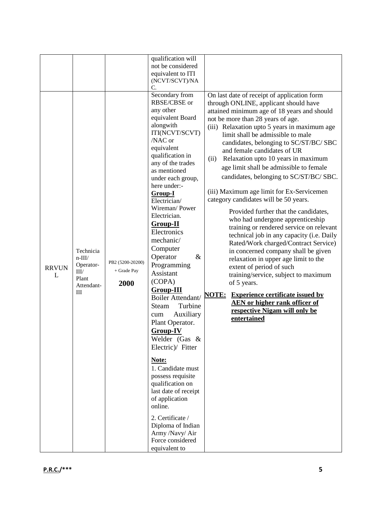|              |                   |                                           | qualification will      |                                                         |
|--------------|-------------------|-------------------------------------------|-------------------------|---------------------------------------------------------|
|              |                   |                                           | not be considered       |                                                         |
|              |                   |                                           | equivalent to ITI       |                                                         |
|              |                   |                                           | (NCVT/SCVT)/NA          |                                                         |
|              |                   |                                           | C.                      |                                                         |
|              |                   |                                           | Secondary from          | On last date of receipt of application form             |
|              |                   |                                           | RBSE/CBSE or            | through ONLINE, applicant should have                   |
|              |                   |                                           | any other               | attained minimum age of 18 years and should             |
|              |                   |                                           | equivalent Board        | not be more than 28 years of age.                       |
|              |                   |                                           | alongwith               | (iii) Relaxation upto 5 years in maximum age            |
|              |                   |                                           | ITI(NCVT/SCVT)          | limit shall be admissible to male                       |
|              |                   |                                           | /NAC or                 | candidates, belonging to SC/ST/BC/ SBC                  |
|              |                   |                                           | equivalent              | and female candidates of UR                             |
|              |                   |                                           | qualification in        | Relaxation upto 10 years in maximum<br>(ii)             |
|              |                   |                                           | any of the trades       |                                                         |
|              |                   |                                           | as mentioned            | age limit shall be admissible to female                 |
|              |                   |                                           | under each group,       | candidates, belonging to SC/ST/BC/ SBC.                 |
|              |                   |                                           | here under:-            |                                                         |
|              |                   |                                           | Group-I                 | (iii) Maximum age limit for Ex-Servicemen               |
|              |                   |                                           | Electrician/            | category candidates will be 50 years.                   |
|              |                   |                                           | Wireman/Power           |                                                         |
|              |                   |                                           | Electrician.            | Provided further that the candidates,                   |
|              |                   |                                           | <b>Group-II</b>         | who had undergone apprenticeship                        |
|              |                   |                                           | Electronics             | training or rendered service on relevant                |
|              | mechanic/         | technical job in any capacity (i.e. Daily |                         |                                                         |
|              | Computer          | Rated/Work charged/Contract Service)      |                         |                                                         |
|              | Technicia         |                                           | Operator<br>$\&$        | in concerned company shall be given                     |
|              | $n$ -III/         | PB2 (5200-20200)                          |                         | relaxation in upper age limit to the                    |
| <b>RRVUN</b> | Operator-<br>III/ | + Grade Pay                               | Programming             | extent of period of such                                |
| L            | Plant             |                                           | Assistant               | training/service, subject to maximum                    |
|              | Attendant-        | 2000                                      | (COPA)                  | of 5 years.                                             |
|              | III               |                                           | <b>Group-III</b>        | <b>NOTE:</b><br><b>Experience certificate issued by</b> |
|              |                   |                                           | Boiler Attendant/       | <b>AEN</b> or higher rank officer of                    |
|              |                   |                                           | Turbine<br><b>Steam</b> | respective Nigam will only be                           |
|              |                   |                                           | Auxiliary<br>cum        | entertained                                             |
|              |                   |                                           | Plant Operator.         |                                                         |
|              |                   |                                           | Group-IV                |                                                         |
|              |                   |                                           | Welder (Gas &           |                                                         |
|              |                   |                                           | Electric)/ Fitter       |                                                         |
|              |                   |                                           |                         |                                                         |
|              |                   |                                           | Note:                   |                                                         |
|              |                   |                                           | 1. Candidate must       |                                                         |
|              | possess requisite |                                           |                         |                                                         |
|              |                   | qualification on                          |                         |                                                         |
|              |                   |                                           | last date of receipt    |                                                         |
|              |                   |                                           | of application          |                                                         |
|              |                   |                                           | online.                 |                                                         |
|              |                   |                                           |                         |                                                         |
|              |                   |                                           | 2. Certificate /        |                                                         |
|              |                   |                                           | Diploma of Indian       |                                                         |
|              |                   |                                           | Army /Navy/ Air         |                                                         |
|              |                   |                                           | Force considered        |                                                         |
|              |                   |                                           | equivalent to           |                                                         |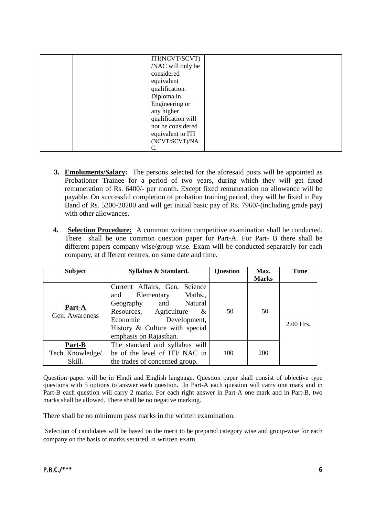|  | ITI(NCVT/SCVT)     |  |
|--|--------------------|--|
|  | /NAC will only be  |  |
|  | considered         |  |
|  | equivalent         |  |
|  | qualification.     |  |
|  | Diploma in         |  |
|  | Engineering or     |  |
|  | any higher         |  |
|  | qualification will |  |
|  | not be considered  |  |
|  | equivalent to ITI  |  |
|  | (NCVT/SCVT)/NA     |  |
|  |                    |  |
|  |                    |  |

- **3. Emoluments/Salary:** The persons selected for the aforesaid posts will be appointed as Probationer Trainee for a period of two years, during which they will get fixed remuneration of Rs. 6400/- per month. Except fixed remuneration no allowance will be payable. On successful completion of probation training period, they will be fixed in Pay Band of Rs. 5200-20200 and will get initial basic pay of Rs. 7960/-(including grade pay) with other allowances.
- **4. Selection Procedure:** A common written competitive examination shall be conducted. There shall be one common question paper for Part-A. For Part- B there shall be different papers company wise/group wise. Exam will be conducted separately for each company, at different centres, on same date and time.

| <b>Subject</b>                       | Syllabus & Standard.                                                                                                                                                                                       | <b>Question</b> | Max.               | <b>Time</b> |
|--------------------------------------|------------------------------------------------------------------------------------------------------------------------------------------------------------------------------------------------------------|-----------------|--------------------|-------------|
| Part-A<br>Gen. Awareness             | Current Affairs, Gen. Science<br>and Elementary<br>Maths.,<br>Natural<br>Geography and<br>Resources, Agriculture &<br>Development,<br>Economic<br>History & Culture with special<br>emphasis on Rajasthan. | 50              | <b>Marks</b><br>50 | $2.00$ Hrs. |
| Part-B<br>Tech. Knowledge/<br>Skill. | The standard and syllabus will<br>be of the level of ITI/NAC in<br>the trades of concerned group.                                                                                                          | 100             | 200                |             |

Question paper will be in Hindi and English language. Question paper shall consist of objective type questions with 5 options to answer each question. In Part-A each question will carry one mark and in Part-B each question will carry 2 marks. For each right answer in Part-A one mark and in Part-B, two marks shall be allowed. There shall be no negative marking.

There shall be no minimum pass marks in the written examination.

Selection of candidates will be based on the merit to be prepared category wise and group-wise for each company on the basis of marks secured in written exam.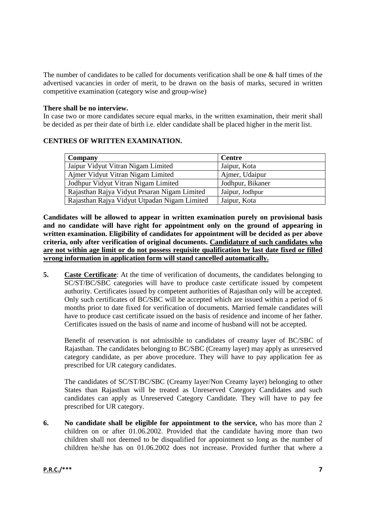The number of candidates to be called for documents verification shall be one & half times of the advertised vacancies in order of merit, to be drawn on the basis of marks, secured in written competitive examination (category wise and group-wise)

#### **There shall be no interview.**

In case two or more candidates secure equal marks, in the written examination, their merit shall be decided as per their date of birth i.e. elder candidate shall be placed higher in the merit list.

#### **CENTRES OF WRITTEN EXAMINATION.**

| Company                                      | <b>Centre</b>    |
|----------------------------------------------|------------------|
| Jaipur Vidyut Vitran Nigam Limited           | Jaipur, Kota     |
| Ajmer Vidyut Vitran Nigam Limited            | Ajmer, Udaipur   |
| Jodhpur Vidyut Vitran Nigam Limited          | Jodhpur, Bikaner |
| Rajasthan Rajya Vidyut Prsaran Nigam Limited | Jaipur, Jodhpur  |
| Rajasthan Rajya Vidyut Utpadan Nigam Limited | Jaipur, Kota     |

**Candidates will be allowed to appear in written examination purely on provisional basis and no candidate will have right for appointment only on the ground of appearing in written examination. Eligibility of candidates for appointment will be decided as per above criteria, only after verification of original documents. Candidature of such candidates who are not within age limit or do not possess requisite qualification by last date fixed or filled wrong information in application form will stand cancelled automatically.** 

**5. Caste Certificate**: At the time of verification of documents, the candidates belonging to SC/ST/BC/SBC categories will have to produce caste certificate issued by competent authority. Certificates issued by competent authorities of Rajasthan only will be accepted. Only such certificates of BC/SBC will be accepted which are issued within a period of 6 months prior to date fixed for verification of documents. Married female candidates will have to produce cast certificate issued on the basis of residence and income of her father. Certificates issued on the basis of name and income of husband will not be accepted.

Benefit of reservation is not admissible to candidates of creamy layer of BC/SBC of Rajasthan. The candidates belonging to BC/SBC (Creamy layer) may apply as unreserved category candidate, as per above procedure. They will have to pay application fee as prescribed for UR category candidates.

The candidates of SC/ST/BC/SBC (Creamy layer/Non Creamy layer) belonging to other States than Rajasthan will be treated as Unreserved Category Candidates and such candidates can apply as Unreserved Category Candidate. They will have to pay fee prescribed for UR category.

**6. No candidate shall be eligible for appointment to the service,** who has more than 2 children on or after 01.06.2002. Provided that the candidate having more than two children shall not deemed to be disqualified for appointment so long as the number of children he/she has on 01.06.2002 does not increase. Provided further that where a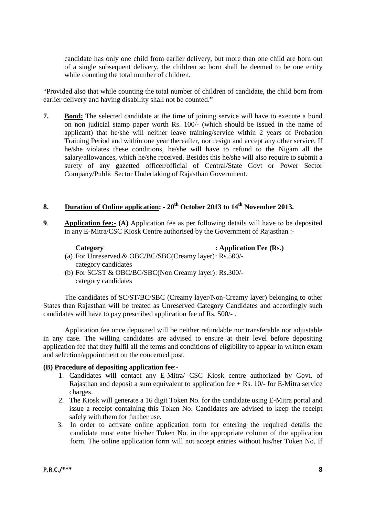candidate has only one child from earlier delivery, but more than one child are born out of a single subsequent delivery, the children so born shall be deemed to be one entity while counting the total number of children.

"Provided also that while counting the total number of children of candidate, the child born from earlier delivery and having disability shall not be counted."

**7. Bond:** The selected candidate at the time of joining service will have to execute a bond on non judicial stamp paper worth Rs. 100/- (which should be issued in the name of applicant) that he/she will neither leave training/service within 2 years of Probation Training Period and within one year thereafter, nor resign and accept any other service. If he/she violates these conditions, he/she will have to refund to the Nigam all the salary/allowances, which he/she received. Besides this he/she will also require to submit a surety of any gazetted officer/official of Central/State Govt or Power Sector Company/Public Sector Undertaking of Rajasthan Government.

## **8. Duration of Online application: - 20th October 2013 to 14th November 2013.**

**9**. **Application fee:- (A)** Application fee as per following details will have to be deposited in any E-Mitra/CSC Kiosk Centre authorised by the Government of Rajasthan :-

**Category** : Application Fee (Rs.)

- (a) For Unreserved & OBC/BC/SBC(Creamy layer): Rs.500/ category candidates
- (b) For SC/ST & OBC/BC/SBC(Non Creamy layer): Rs.300/ category candidates

The candidates of SC/ST/BC/SBC (Creamy layer/Non-Creamy layer) belonging to other States than Rajasthan will be treated as Unreserved Category Candidates and accordingly such candidates will have to pay prescribed application fee of Rs. 500/- .

Application fee once deposited will be neither refundable nor transferable nor adjustable in any case. The willing candidates are advised to ensure at their level before depositing application fee that they fulfil all the terms and conditions of eligibility to appear in written exam and selection/appointment on the concerned post.

#### **(B) Procedure of depositing application fee**:-

- 1. Candidates will contact any E-Mitra/ CSC Kiosk centre authorized by Govt. of Rajasthan and deposit a sum equivalent to application fee  $+$  Rs. 10/- for E-Mitra service charges.
- 2. The Kiosk will generate a 16 digit Token No. for the candidate using E-Mitra portal and issue a receipt containing this Token No. Candidates are advised to keep the receipt safely with them for further use.
- 3. In order to activate online application form for entering the required details the candidate must enter his/her Token No. in the appropriate column of the application form. The online application form will not accept entries without his/her Token No. If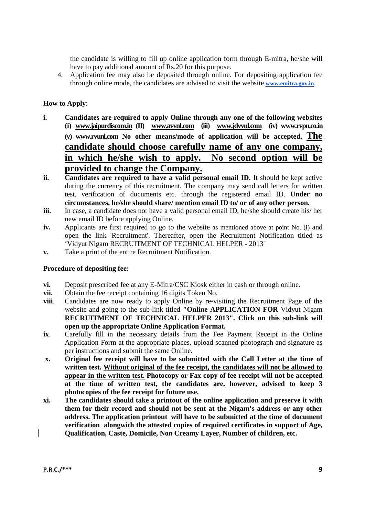the candidate is willing to fill up online application form through E-mitra, he/she will have to pay additional amount of Rs.20 for this purpose.

4. Application fee may also be deposited through online. For depositing application fee through online mode, the candidates are advised to visit the website **www.emitra.gov.in**.

#### **How to Apply**:

- **i. Candidates are required to apply Online through any one of the following websites (i) www.jaipurdiscom.in (II) www.avvnl.com (iii) www.jdvvnl.com (iv) www.rvpn.co.in (v) www.rvunl.com No other means/mode of application will be accepted. The candidate should choose carefully name of any one company, in which he/she wish to apply. No second option will be provided to change the Company.**
- **ii. Candidates are required to have a valid personal email ID.** It should be kept active during the currency of this recruitment. The company may send call letters for written test, verification of documents etc. through the registered email ID. **Under no circumstances, he/she should share/ mention email ID to/ or of any other person.**
- **iii.** In case, a candidate does not have a valid personal email ID, he/she should create his/ her new email ID before applying Online.
- **iv.** Applicants are first required to go to the website as mentioned above at point No. (i) and open the link 'Recruitment'. Thereafter, open the Recruitment Notification titled as 'Vidyut Nigam RECRUITMENT OF TECHNICAL HELPER - 2013'
- **v.** Take a print of the entire Recruitment Notification.

#### **Procedure of depositing fee:**

- **vi.** Deposit prescribed fee at any E-Mitra/CSC Kiosk either in cash or through online.
- **vii.** Obtain the fee receipt containing 16 digits Token No.
- **viii**. Candidates are now ready to apply Online by re-visiting the Recruitment Page of the website and going to the sub-link titled **"Online APPLICATION FOR** Vidyut Nigam **RECRUITMENT OF TECHNICAL HELPER 2013". Click on this sub-link will open up the appropriate Online Application Format.**
- **ix**. Carefully fill in the necessary details from the Fee Payment Receipt in the Online Application Form at the appropriate places, upload scanned photograph and signature as per instructions and submit the same Online.
- **x. Original fee receipt will have to be submitted with the Call Letter at the time of written test. Without original of the fee receipt, the candidates will not be allowed to appear in the written test. Photocopy or Fax copy of fee receipt will not be accepted at the time of written test, the candidates are, however, advised to keep 3 photocopies of the fee receipt for future use.**
- **xi. The candidates should take a printout of the online application and preserve it with them for their record and should not be sent at the Nigam's address or any other address. The application printout will have to be submitted at the time of document verification alongwith the attested copies of required certificates in support of Age, Qualification, Caste, Domicile, Non Creamy Layer, Number of children, etc.**